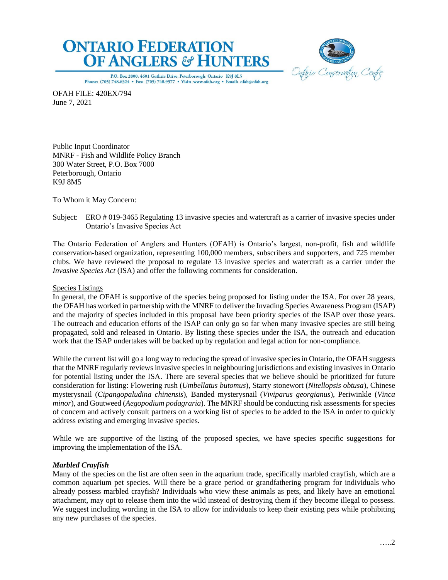



P.O. Box 2800, 4601 Guthrie Drive, Peterborough, Ontario K9J 8L5 Phone: (705) 748.6324 . Fax: (705) 748.9577 . Visit: www.ofah.org . Email: ofah@ofah.org

OFAH FILE: 420EX/794 June 7, 2021

Public Input Coordinator MNRF - Fish and Wildlife Policy Branch 300 Water Street, P.O. Box 7000 Peterborough, Ontario K9J 8M5

To Whom it May Concern:

Subject: ERO # 019-3465 Regulating 13 invasive species and watercraft as a carrier of invasive species under Ontario's Invasive Species Act

The Ontario Federation of Anglers and Hunters (OFAH) is Ontario's largest, non-profit, fish and wildlife conservation-based organization, representing 100,000 members, subscribers and supporters, and 725 member clubs. We have reviewed the proposal to regulate 13 invasive species and watercraft as a carrier under the *Invasive Species Act* (ISA) and offer the following comments for consideration.

### Species Listings

In general, the OFAH is supportive of the species being proposed for listing under the ISA. For over 28 years, the OFAH has worked in partnership with the MNRF to deliver the Invading Species Awareness Program (ISAP) and the majority of species included in this proposal have been priority species of the ISAP over those years. The outreach and education efforts of the ISAP can only go so far when many invasive species are still being propagated, sold and released in Ontario. By listing these species under the ISA, the outreach and education work that the ISAP undertakes will be backed up by regulation and legal action for non-compliance.

While the current list will go a long way to reducing the spread of invasive species in Ontario, the OFAH suggests that the MNRF regularly reviews invasive species in neighbouring jurisdictions and existing invasives in Ontario for potential listing under the ISA. There are several species that we believe should be prioritized for future consideration for listing: Flowering rush (*Umbellatus butomus*), Starry stonewort (*Nitellopsis obtusa*), Chinese mysterysnail (*Cipangopaludina chinensis*), Banded mysterysnail (*Viviparus georgianus*), Periwinkle (*Vinca minor*), and Goutweed (*Aegopodium podagraria*). The MNRF should be conducting risk assessments for species of concern and actively consult partners on a working list of species to be added to the ISA in order to quickly address existing and emerging invasive species.

While we are supportive of the listing of the proposed species, we have species specific suggestions for improving the implementation of the ISA.

# *Marbled Crayfish*

Many of the species on the list are often seen in the aquarium trade, specifically marbled crayfish, which are a common aquarium pet species. Will there be a grace period or grandfathering program for individuals who already possess marbled crayfish? Individuals who view these animals as pets, and likely have an emotional attachment, may opt to release them into the wild instead of destroying them if they become illegal to possess. We suggest including wording in the ISA to allow for individuals to keep their existing pets while prohibiting any new purchases of the species.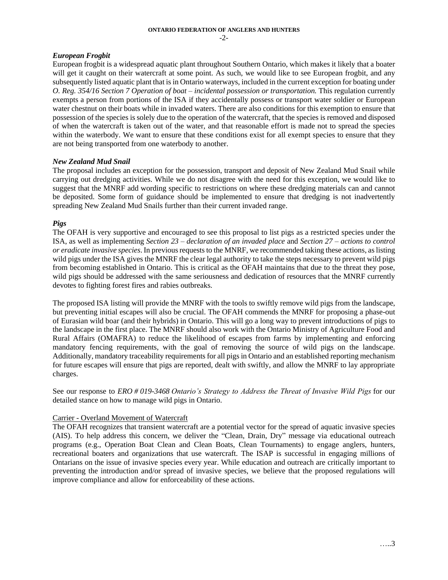## *European Frogbit*

European frogbit is a widespread aquatic plant throughout Southern Ontario, which makes it likely that a boater will get it caught on their watercraft at some point. As such, we would like to see European frogbit, and any subsequently listed aquatic plant that is in Ontario waterways, included in the current exception for boating under *O. Reg. 354/16 Section 7 Operation of boat – incidental possession or transportation.* This regulation currently exempts a person from portions of the ISA if they accidentally possess or transport water soldier or European water chestnut on their boats while in invaded waters. There are also conditions for this exemption to ensure that possession of the species is solely due to the operation of the watercraft, that the species is removed and disposed of when the watercraft is taken out of the water, and that reasonable effort is made not to spread the species within the waterbody. We want to ensure that these conditions exist for all exempt species to ensure that they are not being transported from one waterbody to another.

### *New Zealand Mud Snail*

The proposal includes an exception for the possession, transport and deposit of New Zealand Mud Snail while carrying out dredging activities. While we do not disagree with the need for this exception, we would like to suggest that the MNRF add wording specific to restrictions on where these dredging materials can and cannot be deposited. Some form of guidance should be implemented to ensure that dredging is not inadvertently spreading New Zealand Mud Snails further than their current invaded range.

### *Pigs*

The OFAH is very supportive and encouraged to see this proposal to list pigs as a restricted species under the ISA, as well as implementing *Section 23 – declaration of an invaded place* and *Section 27 – actions to control or eradicate invasive species*. In previous requests to the MNRF, we recommended taking these actions, as listing wild pigs under the ISA gives the MNRF the clear legal authority to take the steps necessary to prevent wild pigs from becoming established in Ontario. This is critical as the OFAH maintains that due to the threat they pose, wild pigs should be addressed with the same seriousness and dedication of resources that the MNRF currently devotes to fighting forest fires and rabies outbreaks.

The proposed ISA listing will provide the MNRF with the tools to swiftly remove wild pigs from the landscape, but preventing initial escapes will also be crucial. The OFAH commends the MNRF for proposing a phase-out of Eurasian wild boar (and their hybrids) in Ontario. This will go a long way to prevent introductions of pigs to the landscape in the first place. The MNRF should also work with the Ontario Ministry of Agriculture Food and Rural Affairs (OMAFRA) to reduce the likelihood of escapes from farms by implementing and enforcing mandatory fencing requirements, with the goal of removing the source of wild pigs on the landscape. Additionally, mandatory traceability requirements for all pigs in Ontario and an established reporting mechanism for future escapes will ensure that pigs are reported, dealt with swiftly, and allow the MNRF to lay appropriate charges.

See our response to *ERO # 019-3468 Ontario's Strategy to Address the Threat of Invasive Wild Pigs* for our detailed stance on how to manage wild pigs in Ontario.

### Carrier - Overland Movement of Watercraft

The OFAH recognizes that transient watercraft are a potential vector for the spread of aquatic invasive species (AIS). To help address this concern, we deliver the "Clean, Drain, Dry" message via educational outreach programs (e.g., Operation Boat Clean and Clean Boats, Clean Tournaments) to engage anglers, hunters, recreational boaters and organizations that use watercraft. The ISAP is successful in engaging millions of Ontarians on the issue of invasive species every year. While education and outreach are critically important to preventing the introduction and/or spread of invasive species, we believe that the proposed regulations will improve compliance and allow for enforceability of these actions.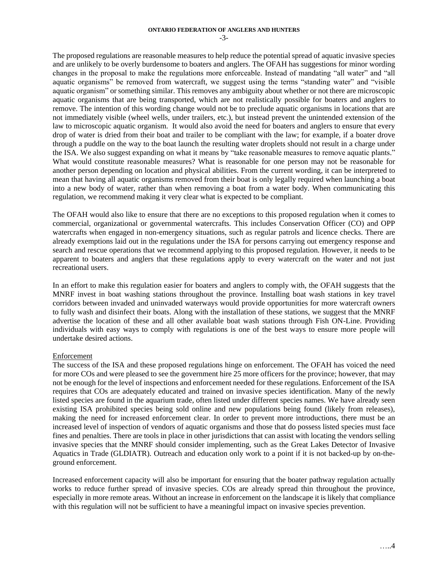The proposed regulations are reasonable measures to help reduce the potential spread of aquatic invasive species and are unlikely to be overly burdensome to boaters and anglers. The OFAH has suggestions for minor wording changes in the proposal to make the regulations more enforceable. Instead of mandating "all water" and "all aquatic organisms" be removed from watercraft, we suggest using the terms "standing water" and "visible aquatic organism" or something similar. This removes any ambiguity about whether or not there are microscopic aquatic organisms that are being transported, which are not realistically possible for boaters and anglers to remove. The intention of this wording change would not be to preclude aquatic organisms in locations that are not immediately visible (wheel wells, under trailers, etc.), but instead prevent the unintended extension of the law to microscopic aquatic organism. It would also avoid the need for boaters and anglers to ensure that every drop of water is dried from their boat and trailer to be compliant with the law; for example, if a boater drove through a puddle on the way to the boat launch the resulting water droplets should not result in a charge under the ISA. We also suggest expanding on what it means by "take reasonable measures to remove aquatic plants." What would constitute reasonable measures? What is reasonable for one person may not be reasonable for another person depending on location and physical abilities. From the current wording, it can be interpreted to mean that having all aquatic organisms removed from their boat is only legally required when launching a boat into a new body of water, rather than when removing a boat from a water body. When communicating this regulation, we recommend making it very clear what is expected to be compliant.

The OFAH would also like to ensure that there are no exceptions to this proposed regulation when it comes to commercial, organizational or governmental watercrafts. This includes Conservation Officer (CO) and OPP watercrafts when engaged in non-emergency situations, such as regular patrols and licence checks. There are already exemptions laid out in the regulations under the ISA for persons carrying out emergency response and search and rescue operations that we recommend applying to this proposed regulation. However, it needs to be apparent to boaters and anglers that these regulations apply to every watercraft on the water and not just recreational users.

In an effort to make this regulation easier for boaters and anglers to comply with, the OFAH suggests that the MNRF invest in boat washing stations throughout the province. Installing boat wash stations in key travel corridors between invaded and uninvaded waterways would provide opportunities for more watercraft owners to fully wash and disinfect their boats. Along with the installation of these stations, we suggest that the MNRF advertise the location of these and all other available boat wash stations through Fish ON-Line. Providing individuals with easy ways to comply with regulations is one of the best ways to ensure more people will undertake desired actions.

### Enforcement

The success of the ISA and these proposed regulations hinge on enforcement. The OFAH has voiced the need for more COs and were pleased to see the government hire 25 more officers for the province; however, that may not be enough for the level of inspections and enforcement needed for these regulations. Enforcement of the ISA requires that COs are adequately educated and trained on invasive species identification. Many of the newly listed species are found in the aquarium trade, often listed under different species names. We have already seen existing ISA prohibited species being sold online and new populations being found (likely from releases), making the need for increased enforcement clear. In order to prevent more introductions, there must be an increased level of inspection of vendors of aquatic organisms and those that do possess listed species must face fines and penalties. There are tools in place in other jurisdictions that can assist with locating the vendors selling invasive species that the MNRF should consider implementing, such as the Great Lakes Detector of Invasive Aquatics in Trade (GLDIATR). Outreach and education only work to a point if it is not backed-up by on-theground enforcement.

Increased enforcement capacity will also be important for ensuring that the boater pathway regulation actually works to reduce further spread of invasive species. COs are already spread thin throughout the province, especially in more remote areas. Without an increase in enforcement on the landscape it is likely that compliance with this regulation will not be sufficient to have a meaningful impact on invasive species prevention.